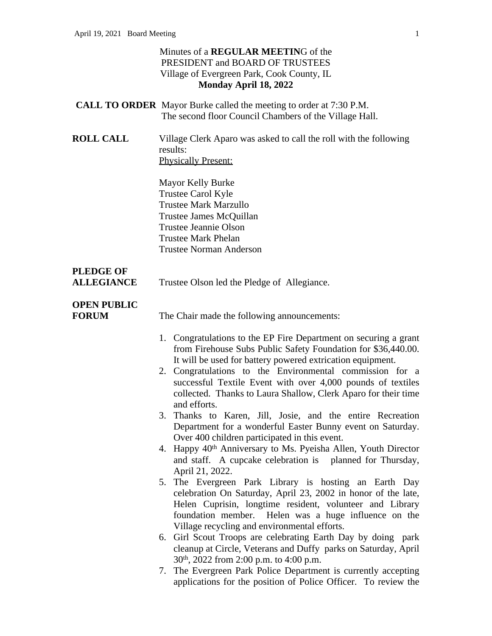#### Minutes of a **REGULAR MEETIN**G of the PRESIDENT and BOARD OF TRUSTEES Village of Evergreen Park, Cook County, IL **Monday April 18, 2022**

- **CALL TO ORDER** Mayor Burke called the meeting to order at 7:30 P.M. The second floor Council Chambers of the Village Hall.
- **ROLL CALL** Village Clerk Aparo was asked to call the roll with the following results: Physically Present:

Mayor Kelly Burke Trustee Carol Kyle Trustee Mark Marzullo Trustee James McQuillan Trustee Jeannie Olson Trustee Mark Phelan Trustee Norman Anderson

# **PLEDGE OF**

**ALLEGIANCE** Trustee Olson led the Pledge of Allegiance.

## **OPEN PUBLIC**

**FORUM** The Chair made the following announcements:

- 1. Congratulations to the EP Fire Department on securing a grant from Firehouse Subs Public Safety Foundation for \$36,440.00. It will be used for battery powered extrication equipment.
- 2. Congratulations to the Environmental commission for a successful Textile Event with over 4,000 pounds of textiles collected. Thanks to Laura Shallow, Clerk Aparo for their time and efforts.
- 3. Thanks to Karen, Jill, Josie, and the entire Recreation Department for a wonderful Easter Bunny event on Saturday. Over 400 children participated in this event.
- 4. Happy 40<sup>th</sup> Anniversary to Ms. Pyeisha Allen, Youth Director and staff. A cupcake celebration is planned for Thursday, April 21, 2022.
- 5. The Evergreen Park Library is hosting an Earth Day celebration On Saturday, April 23, 2002 in honor of the late, Helen Cuprisin, longtime resident, volunteer and Library foundation member. Helen was a huge influence on the Village recycling and environmental efforts.
- 6. Girl Scout Troops are celebrating Earth Day by doing park cleanup at Circle, Veterans and Duffy parks on Saturday, April 30th, 2022 from 2:00 p.m. to 4:00 p.m.
- 7. The Evergreen Park Police Department is currently accepting applications for the position of Police Officer. To review the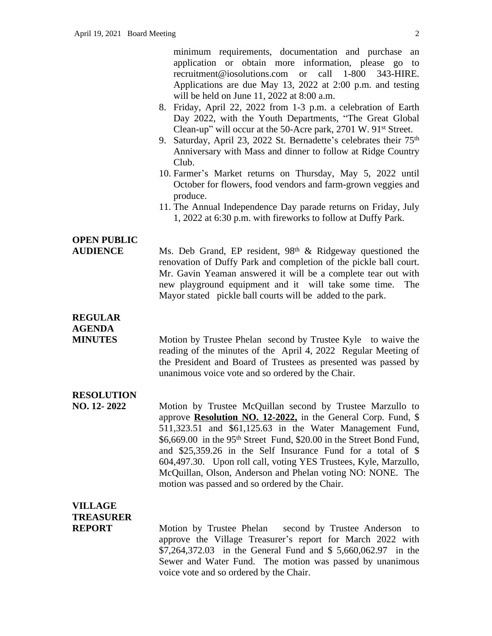minimum requirements, documentation and purchase an application or obtain more information, please go to recruitment@iosolutions.com or call 1-800 343-HIRE. Applications are due May 13, 2022 at 2:00 p.m. and testing will be held on June 11, 2022 at 8:00 a.m.

- 8. Friday, April 22, 2022 from 1-3 p.m. a celebration of Earth Day 2022, with the Youth Departments, "The Great Global Clean-up" will occur at the 50-Acre park, 2701 W. 91st Street.
- 9. Saturday, April 23, 2022 St. Bernadette's celebrates their 75<sup>th</sup> Anniversary with Mass and dinner to follow at Ridge Country Club.
- 10. Farmer's Market returns on Thursday, May 5, 2022 until October for flowers, food vendors and farm-grown veggies and produce.
- 11. The Annual Independence Day parade returns on Friday, July 1, 2022 at 6:30 p.m. with fireworks to follow at Duffy Park.

### **OPEN PUBLIC**

AUDIENCE Ms. Deb Grand, EP resident, 98<sup>th</sup> & Ridgeway questioned the renovation of Duffy Park and completion of the pickle ball court. Mr. Gavin Yeaman answered it will be a complete tear out with new playground equipment and it will take some time. The Mayor stated pickle ball courts will be added to the park.

### **REGULAR**

**AGENDA**

**MINUTES** Motion by Trustee Phelan second by Trustee Kyle to waive the reading of the minutes of the April 4, 2022 Regular Meeting of the President and Board of Trustees as presented was passed by unanimous voice vote and so ordered by the Chair.

#### **RESOLUTION**

**NO. 12- 2022** Motion by Trustee McQuillan second by Trustee Marzullo to approve **Resolution NO. 12-2022,** in the General Corp. Fund, \$ 511,323.51 and \$61,125.63 in the Water Management Fund, \$6,669.00 in the 95<sup>th</sup> Street Fund, \$20.00 in the Street Bond Fund, and \$25,359.26 in the Self Insurance Fund for a total of \$ 604,497.30. Upon roll call, voting YES Trustees, Kyle, Marzullo, McQuillan, Olson, Anderson and Phelan voting NO: NONE. The motion was passed and so ordered by the Chair.

### **VILLAGE TREASURER**

**REPORT** Motion by Trustee Phelan second by Trustee Anderson to approve the Village Treasurer's report for March 2022 with \$7,264,372.03 in the General Fund and \$ 5,660,062.97 in the Sewer and Water Fund. The motion was passed by unanimous voice vote and so ordered by the Chair.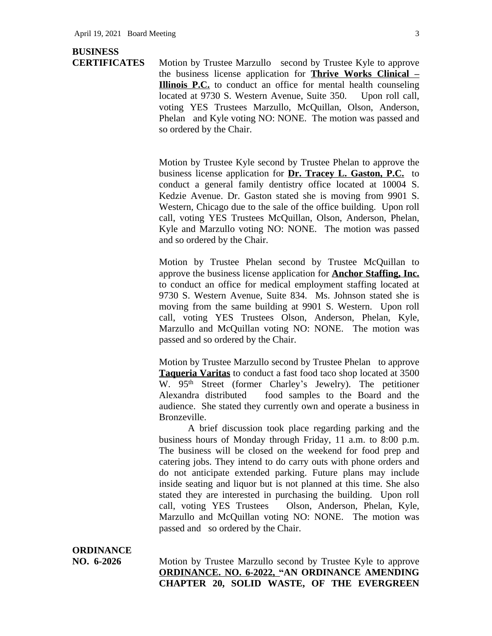#### **BUSINESS**

**CERTIFICATES** Motion by Trustee Marzullo second by Trustee Kyle to approve the business license application for **Thrive Works Clinical – Illinois P.C.** to conduct an office for mental health counseling located at 9730 S. Western Avenue, Suite 350. Upon roll call, voting YES Trustees Marzullo, McQuillan, Olson, Anderson, Phelan and Kyle voting NO: NONE. The motion was passed and so ordered by the Chair.

> Motion by Trustee Kyle second by Trustee Phelan to approve the business license application for **Dr. Tracey L. Gaston, P.C.** to conduct a general family dentistry office located at 10004 S. Kedzie Avenue. Dr. Gaston stated she is moving from 9901 S. Western, Chicago due to the sale of the office building. Upon roll call, voting YES Trustees McQuillan, Olson, Anderson, Phelan, Kyle and Marzullo voting NO: NONE. The motion was passed and so ordered by the Chair.

> Motion by Trustee Phelan second by Trustee McQuillan to approve the business license application for **Anchor Staffing, Inc.** to conduct an office for medical employment staffing located at 9730 S. Western Avenue, Suite 834. Ms. Johnson stated she is moving from the same building at 9901 S. Western. Upon roll call, voting YES Trustees Olson, Anderson, Phelan, Kyle, Marzullo and McQuillan voting NO: NONE. The motion was passed and so ordered by the Chair.

> Motion by Trustee Marzullo second by Trustee Phelan to approve **Taqueria Varitas** to conduct a fast food taco shop located at 3500 W. 95<sup>th</sup> Street (former Charley's Jewelry). The petitioner Alexandra distributed food samples to the Board and the audience. She stated they currently own and operate a business in Bronzeville.

> A brief discussion took place regarding parking and the business hours of Monday through Friday, 11 a.m. to 8:00 p.m. The business will be closed on the weekend for food prep and catering jobs. They intend to do carry outs with phone orders and do not anticipate extended parking. Future plans may include inside seating and liquor but is not planned at this time. She also stated they are interested in purchasing the building. Upon roll call, voting YES Trustees Olson, Anderson, Phelan, Kyle, Marzullo and McQuillan voting NO: NONE. The motion was passed and so ordered by the Chair.

## **ORDINANCE**

**NO. 6-2026** Motion by Trustee Marzullo second by Trustee Kyle to approve **ORDINANCE. NO. 6-2022, "AN ORDINANCE AMENDING CHAPTER 20, SOLID WASTE, OF THE EVERGREEN**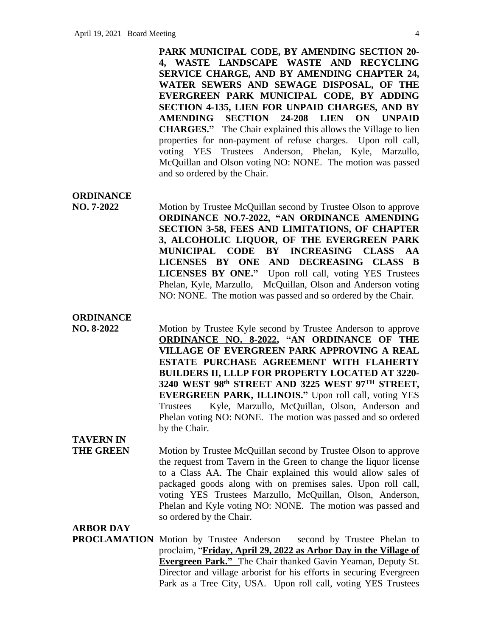**PARK MUNICIPAL CODE, BY AMENDING SECTION 20- 4, WASTE LANDSCAPE WASTE AND RECYCLING SERVICE CHARGE, AND BY AMENDING CHAPTER 24, WATER SEWERS AND SEWAGE DISPOSAL, OF THE EVERGREEN PARK MUNICIPAL CODE, BY ADDING SECTION 4-135, LIEN FOR UNPAID CHARGES, AND BY AMENDING SECTION 24-208 LIEN ON UNPAID CHARGES."** The Chair explained this allows the Village to lien properties for non-payment of refuse charges. Upon roll call, voting YES Trustees Anderson, Phelan, Kyle, Marzullo, McQuillan and Olson voting NO: NONE. The motion was passed and so ordered by the Chair.

**ORDINANCE**

**NO. 7-2022** Motion by Trustee McQuillan second by Trustee Olson to approve **ORDINANCE NO.7-2022, "AN ORDINANCE AMENDING SECTION 3-58, FEES AND LIMITATIONS, OF CHAPTER 3, ALCOHOLIC LIQUOR, OF THE EVERGREEN PARK MUNICIPAL CODE BY INCREASING CLASS AA LICENSES BY ONE AND DECREASING CLASS B LICENSES BY ONE."** Upon roll call, voting YES Trustees Phelan, Kyle, Marzullo, McQuillan, Olson and Anderson voting NO: NONE. The motion was passed and so ordered by the Chair.

#### **ORDINANCE**

**NO. 8-2022** Motion by Trustee Kyle second by Trustee Anderson to approve **ORDINANCE NO. 8-2022, "AN ORDINANCE OF THE VILLAGE OF EVERGREEN PARK APPROVING A REAL ESTATE PURCHASE AGREEMENT WITH FLAHERTY BUILDERS II, LLLP FOR PROPERTY LOCATED AT 3220- 3240 WEST 98th STREET AND 3225 WEST 97TH STREET, EVERGREEN PARK, ILLINOIS."** Upon roll call, voting YES Trustees Kyle, Marzullo, McQuillan, Olson, Anderson and Phelan voting NO: NONE. The motion was passed and so ordered by the Chair.

## **TAVERN IN**

**THE GREEN** Motion by Trustee McQuillan second by Trustee Olson to approve the request from Tavern in the Green to change the liquor license to a Class AA. The Chair explained this would allow sales of packaged goods along with on premises sales. Upon roll call, voting YES Trustees Marzullo, McQuillan, Olson, Anderson, Phelan and Kyle voting NO: NONE. The motion was passed and so ordered by the Chair.

#### **ARBOR DAY**

**PROCLAMATION** Motion by Trustee Anderson second by Trustee Phelan to proclaim, "**Friday, April 29, 2022 as Arbor Day in the Village of Evergreen Park."** The Chair thanked Gavin Yeaman, Deputy St. Director and village arborist for his efforts in securing Evergreen Park as a Tree City, USA. Upon roll call, voting YES Trustees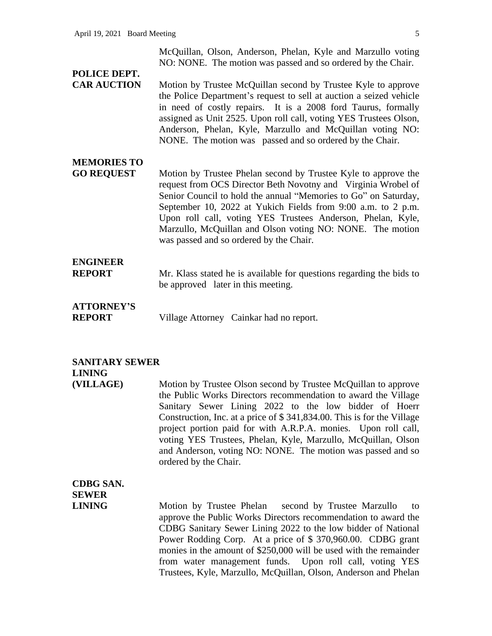## **POLICE DEPT.**

**CAR AUCTION** Motion by Trustee McQuillan second by Trustee Kyle to approve the Police Department's request to sell at auction a seized vehicle in need of costly repairs. It is a 2008 ford Taurus, formally assigned as Unit 2525. Upon roll call, voting YES Trustees Olson, Anderson, Phelan, Kyle, Marzullo and McQuillan voting NO: NONE. The motion was passed and so ordered by the Chair.

## **MEMORIES TO**

**GO REQUEST** Motion by Trustee Phelan second by Trustee Kyle to approve the request from OCS Director Beth Novotny and Virginia Wrobel of Senior Council to hold the annual "Memories to Go" on Saturday, September 10, 2022 at Yukich Fields from 9:00 a.m. to 2 p.m. Upon roll call, voting YES Trustees Anderson, Phelan, Kyle, Marzullo, McQuillan and Olson voting NO: NONE. The motion was passed and so ordered by the Chair.

### **ENGINEER**

**REPORT** Mr. Klass stated he is available for questions regarding the bids to be approved later in this meeting.

### **ATTORNEY'S**

**REPORT** Village Attorney Cainkar had no report.

#### **SANITARY SEWER LINING**

**(VILLAGE)** Motion by Trustee Olson second by Trustee McQuillan to approve the Public Works Directors recommendation to award the Village Sanitary Sewer Lining 2022 to the low bidder of Hoerr Construction, Inc. at a price of \$ 341,834.00. This is for the Village project portion paid for with A.R.P.A. monies. Upon roll call, voting YES Trustees, Phelan, Kyle, Marzullo, McQuillan, Olson and Anderson, voting NO: NONE. The motion was passed and so ordered by the Chair.

## **CDBG SAN. SEWER**

**LINING** Motion by Trustee Phelan second by Trustee Marzullo to approve the Public Works Directors recommendation to award the CDBG Sanitary Sewer Lining 2022 to the low bidder of National Power Rodding Corp. At a price of \$ 370,960.00. CDBG grant monies in the amount of \$250,000 will be used with the remainder from water management funds. Upon roll call, voting YES Trustees, Kyle, Marzullo, McQuillan, Olson, Anderson and Phelan